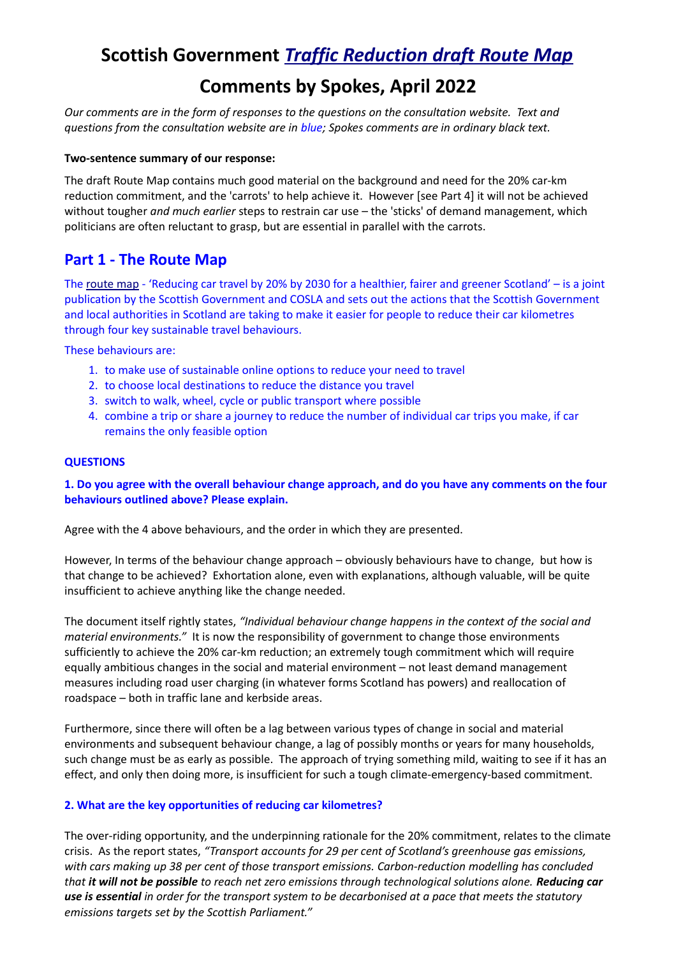# **Scottish Government** *[Traffic Reduction draft Route Map](https://consult.gov.scot/transport-scotland/car-kilometre-reduction-route-map/)*

## **Comments by Spokes, April 2022**

*Our comments are in the form of responses to the questions on the consultation website. Text and questions from the consultation website are in blue; Spokes comments are in ordinary black text.*

#### **Two-sentence summary of our response:**

The draft Route Map contains much good material on the background and need for the 20% car-km reduction commitment, and the 'carrots' to help achieve it. However [see Part 4] it will not be achieved without tougher *and much earlier* steps to restrain car use – the 'sticks' of demand management, which politicians are often reluctant to grasp, but are essential in parallel with the carrots.

### **Part 1 - The Route Map**

The [route map](https://www.transport.gov.scot/publication/a-route-map-to-achieve-a-20-per-cent-reduction-in-car-kilometres-by-2030/) - 'Reducing car travel by 20% by 2030 for a healthier, fairer and greener Scotland' – is a joint publication by the Scottish Government and COSLA and sets out the actions that the Scottish Government and local authorities in Scotland are taking to make it easier for people to reduce their car kilometres through four key sustainable travel behaviours.

These behaviours are:

- 1. to make use of sustainable online options to reduce your need to travel
- 2. to choose local destinations to reduce the distance you travel
- 3. switch to walk, wheel, cycle or public transport where possible
- 4. combine a trip or share a journey to reduce the number of individual car trips you make, if car remains the only feasible option

#### **QUESTIONS**

**1. Do you agree with the overall behaviour change approach, and do you have any comments on the four behaviours outlined above? Please explain.**

Agree with the 4 above behaviours, and the order in which they are presented.

However, In terms of the behaviour change approach – obviously behaviours have to change, but how is that change to be achieved? Exhortation alone, even with explanations, although valuable, will be quite insufficient to achieve anything like the change needed.

The document itself rightly states, *"Individual behaviour change happens in the context of the social and material environments."* It is now the responsibility of government to change those environments sufficiently to achieve the 20% car-km reduction; an extremely tough commitment which will require equally ambitious changes in the social and material environment – not least demand management measures including road user charging (in whatever forms Scotland has powers) and reallocation of roadspace – both in traffic lane and kerbside areas.

Furthermore, since there will often be a lag between various types of change in social and material environments and subsequent behaviour change, a lag of possibly months or years for many households, such change must be as early as possible. The approach of trying something mild, waiting to see if it has an effect, and only then doing more, is insufficient for such a tough climate-emergency-based commitment.

#### **2. What are the key opportunities of reducing car kilometres?**

The over-riding opportunity, and the underpinning rationale for the 20% commitment, relates to the climate crisis. As the report states, *"Transport accounts for 29 per cent of Scotland's greenhouse gas emissions, with cars making up 38 per cent of those transport emissions. Carbon-reduction modelling has concluded that it will not be possible to reach net zero emissions through technological solutions alone. Reducing car use is essential in order for the transport system to be decarbonised at a pace that meets the statutory emissions targets set by the Scottish Parliament."*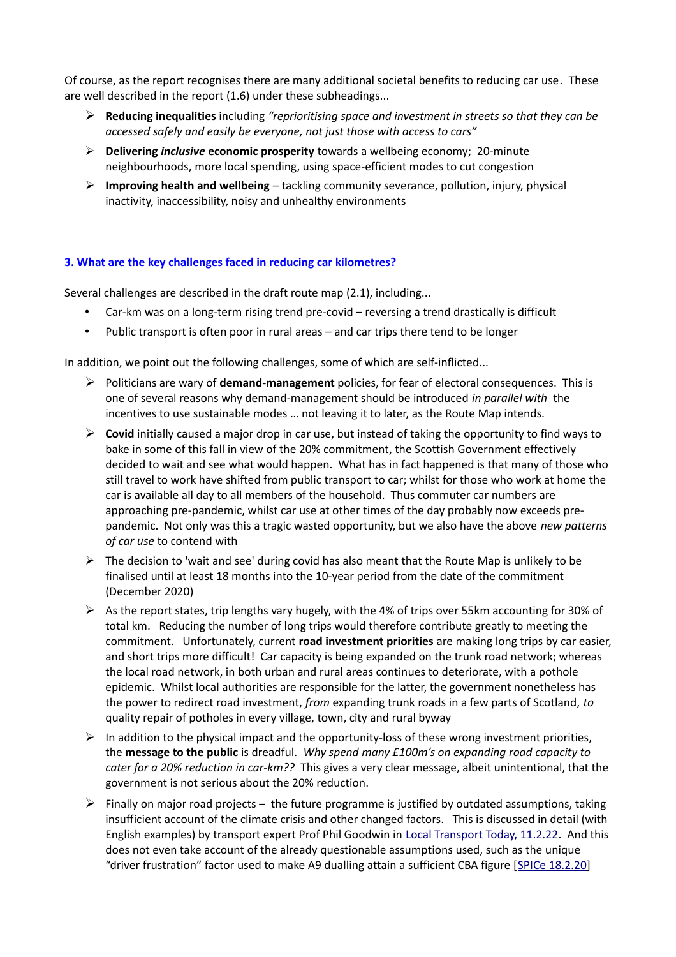Of course, as the report recognises there are many additional societal benefits to reducing car use. These are well described in the report (1.6) under these subheadings...

- ➢ **Reducing inequalities** including *"reprioritising space and investment in streets so that they can be accessed safely and easily be everyone, not just those with access to cars"*
- ➢ **Delivering** *inclusive* **economic prosperity** towards a wellbeing economy; 20-minute neighbourhoods, more local spending, using space-efficient modes to cut congestion
- ➢ **Improving health and wellbeing** tackling community severance, pollution, injury, physical inactivity, inaccessibility, noisy and unhealthy environments

#### **3. What are the key challenges faced in reducing car kilometres?**

Several challenges are described in the draft route map (2.1), including...

- Car-km was on a long-term rising trend pre-covid reversing a trend drastically is difficult
- Public transport is often poor in rural areas and car trips there tend to be longer

In addition, we point out the following challenges, some of which are self-inflicted...

- ➢ Politicians are wary of **demand-management** policies, for fear of electoral consequences. This is one of several reasons why demand-management should be introduced *in parallel with* the incentives to use sustainable modes … not leaving it to later, as the Route Map intends.
- ➢ **Covid** initially caused a major drop in car use, but instead of taking the opportunity to find ways to bake in some of this fall in view of the 20% commitment, the Scottish Government effectively decided to wait and see what would happen. What has in fact happened is that many of those who still travel to work have shifted from public transport to car; whilst for those who work at home the car is available all day to all members of the household. Thus commuter car numbers are approaching pre-pandemic, whilst car use at other times of the day probably now exceeds prepandemic. Not only was this a tragic wasted opportunity, but we also have the above *new patterns of car use* to contend with
- $\triangleright$  The decision to 'wait and see' during covid has also meant that the Route Map is unlikely to be finalised until at least 18 months into the 10-year period from the date of the commitment (December 2020)
- $\triangleright$  As the report states, trip lengths vary hugely, with the 4% of trips over 55km accounting for 30% of total km. Reducing the number of long trips would therefore contribute greatly to meeting the commitment. Unfortunately, current **road investment priorities** are making long trips by car easier, and short trips more difficult! Car capacity is being expanded on the trunk road network; whereas the local road network, in both urban and rural areas continues to deteriorate, with a pothole epidemic. Whilst local authorities are responsible for the latter, the government nonetheless has the power to redirect road investment, *from* expanding trunk roads in a few parts of Scotland, *to* quality repair of potholes in every village, town, city and rural byway
- $\triangleright$  In addition to the physical impact and the opportunity-loss of these wrong investment priorities, the **message to the public** is dreadful. *Why spend many £100m's on expanding road capacity to cater for a 20% reduction in car-km??* This gives a very clear message, albeit unintentional, that the government is not serious about the 20% reduction.
- $\triangleright$  Finally on major road projects the future programme is justified by outdated assumptions, taking insufficient account of the climate crisis and other changed factors. This is discussed in detail (with English examples) by transport expert Prof Phil Goodwin in [Local Transport Today, 11.2.22.](https://discussion.lttmagazine.co.uk/unresolved-tensions-in-the-appraisal-of-road-projects-are-undermining-decarbonisation-and-value-for-money/) And this does not even take account of the already questionable assumptions used, such as the unique "driver frustration" factor used to make A9 dualling attain a sufficient CBA figure [\[SPICe 18.2.20\]](https://spice-spotlight.scot/2020/02/18/the-a9-dualling-project-crucial-for-scotland/)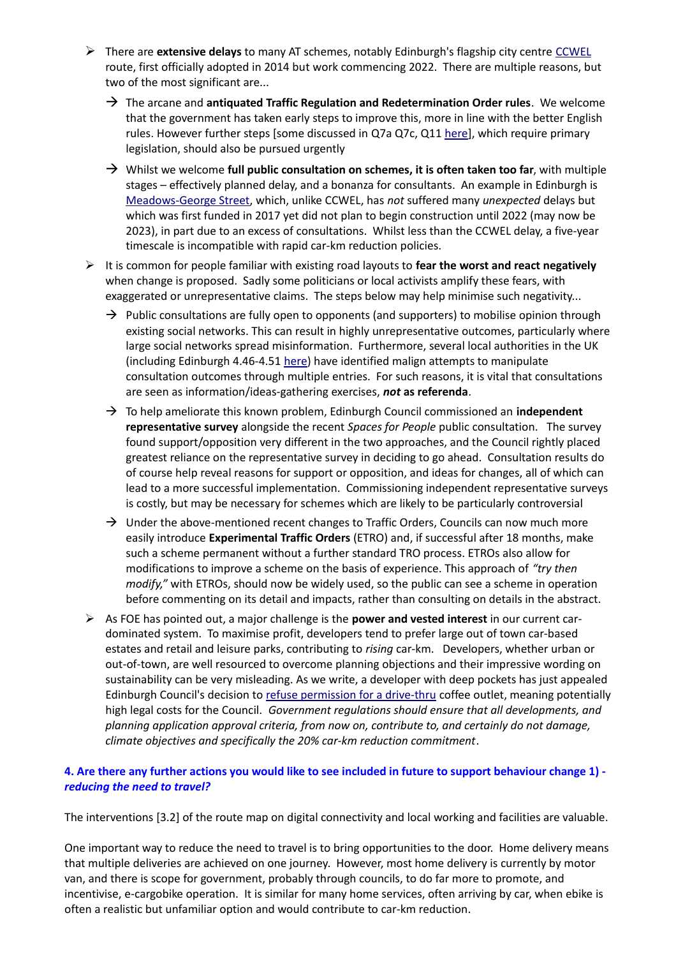- ➢ There are **extensive delays** to many AT schemes, notably Edinburgh's flagship city centre [CCWEL](http://www.spokes.org.uk/2022/02/ccwel-work-begins-after-an-arduous-evolution/) route, first officially adopted in 2014 but work commencing 2022. There are multiple reasons, but two of the most significant are...
	- $\rightarrow$  The arcane and **antiquated Traffic Regulation and Redetermination Order rules**. We welcome that the government has taken early steps to improve this, more in line with the better English rules. However further steps [some discussed in Q7a Q7c, Q11 [here\]](http://www.spokes.org.uk/wp-content/uploads/2021/07/2107-Scotgov-TRO-consultn-spokes-response-v3-SUBMITTED.pdf), which require primary legislation, should also be pursued urgently
	- → Whilst we welcome **full public consultation on schemes, it is often taken too far**, with multiple stages – effectively planned delay, and a bonanza for consultants. An example in Edinburgh is [Meadows-George Street,](https://meadowstogeorgestreet.info/) which, unlike CCWEL, has *not* suffered many *unexpected* delays but which was first funded in 2017 yet did not plan to begin construction until 2022 (may now be 2023), in part due to an excess of consultations. Whilst less than the CCWEL delay, a five-year timescale is incompatible with rapid car-km reduction policies.
- ➢ It is common for people familiar with existing road layouts to **fear the worst and react negatively** when change is proposed. Sadly some politicians or local activists amplify these fears, with exaggerated or unrepresentative claims. The steps below may help minimise such negativity...
	- $\rightarrow$  Public consultations are fully open to opponents (and supporters) to mobilise opinion through existing social networks. This can result in highly unrepresentative outcomes, particularly where large social networks spread misinformation. Furthermore, several local authorities in the UK (including Edinburgh 4.46-4.51 [here\)](http://www.spokes.org.uk/wp-content/uploads/2021/06/210617-7.1-Potential-Retention-of-Spaces-for-People-Measures.pdf) have identified malign attempts to manipulate consultation outcomes through multiple entries. For such reasons, it is vital that consultations are seen as information/ideas-gathering exercises, *not* **as referenda**.
	- → To help ameliorate this known problem, Edinburgh Council commissioned an **independent representative survey** alongside the recent *Spaces for People* public consultation. The survey found support/opposition very different in the two approaches, and the Council rightly placed greatest reliance on the representative survey in deciding to go ahead. Consultation results do of course help reveal reasons for support or opposition, and ideas for changes, all of which can lead to a more successful implementation. Commissioning independent representative surveys is costly, but may be necessary for schemes which are likely to be particularly controversial
	- $\rightarrow$  Under the above-mentioned recent changes to Traffic Orders, Councils can now much more easily introduce **Experimental Traffic Orders** (ETRO) and, if successful after 18 months, make such a scheme permanent without a further standard TRO process. ETROs also allow for modifications to improve a scheme on the basis of experience. This approach of *"try then modify,"* with ETROs, should now be widely used, so the public can see a scheme in operation before commenting on its detail and impacts, rather than consulting on details in the abstract.
- ➢ As FOE has pointed out, a major challenge is the **power and vested interest** in our current cardominated system. To maximise profit, developers tend to prefer large out of town car-based estates and retail and leisure parks, contributing to *rising* car-km. Developers, whether urban or out-of-town, are well resourced to overcome planning objections and their impressive wording on sustainability can be very misleading. As we write, a developer with deep pockets has just appealed Edinburgh Council's decision to [refuse permission for a drive-thru](https://twitter.com/SpokesLothian/status/1468949963291901954) coffee outlet, meaning potentially high legal costs for the Council. *Government regulations should ensure that all developments, and planning application approval criteria, from now on, contribute to, and certainly do not damage, climate objectives and specifically the 20% car-km reduction commitment*.

#### **4. Are there any further actions you would like to see included in future to support behaviour change 1)**  *reducing the need to travel?*

The interventions [3.2] of the route map on digital connectivity and local working and facilities are valuable.

One important way to reduce the need to travel is to bring opportunities to the door. Home delivery means that multiple deliveries are achieved on one journey. However, most home delivery is currently by motor van, and there is scope for government, probably through councils, to do far more to promote, and incentivise, e-cargobike operation. It is similar for many home services, often arriving by car, when ebike is often a realistic but unfamiliar option and would contribute to car-km reduction.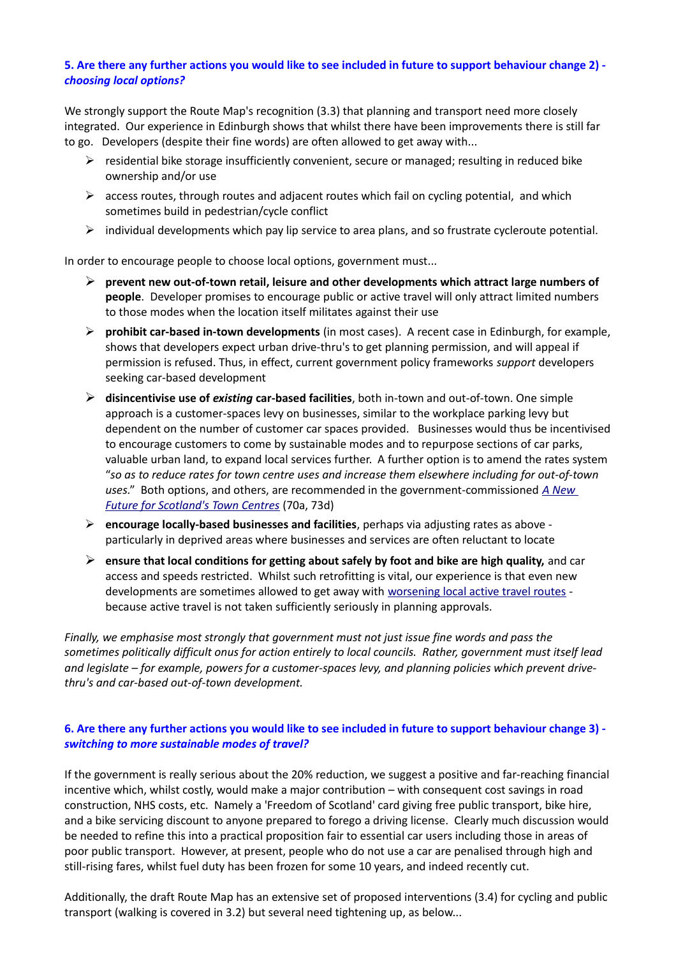#### **5. Are there any further actions you would like to see included in future to support behaviour change 2)**  *choosing local options?*

We strongly support the Route Map's recognition (3.3) that planning and transport need more closely integrated. Our experience in Edinburgh shows that whilst there have been improvements there is still far to go. Developers (despite their fine words) are often allowed to get away with...

- ➢ residential bike storage insufficiently convenient, secure or managed; resulting in reduced bike ownership and/or use
- $\triangleright$  access routes, through routes and adjacent routes which fail on cycling potential, and which sometimes build in pedestrian/cycle conflict
- $\triangleright$  individual developments which pay lip service to area plans, and so frustrate cycleroute potential.

In order to encourage people to choose local options, government must...

- ➢ **prevent new out-of-town retail, leisure and other developments which attract large numbers of people**. Developer promises to encourage public or active travel will only attract limited numbers to those modes when the location itself militates against their use
- ➢ **prohibit car-based in-town developments** (in most cases). A recent case in Edinburgh, for example, shows that developers expect urban drive-thru's to get planning permission, and will appeal if permission is refused. Thus, in effect, current government policy frameworks *support* developers seeking car-based development
- ➢ **disincentivise use of** *existing* **car-based facilities**, both in-town and out-of-town. One simple approach is a customer-spaces levy on businesses, similar to the workplace parking levy but dependent on the number of customer car spaces provided. Businesses would thus be incentivised to encourage customers to come by sustainable modes and to repurpose sections of car parks, valuable urban land, to expand local services further. A further option is to amend the rates system "*so as to reduce rates for town centre uses and increase them elsewhere including for out-of-town uses.*" Both options, and others, are recommended in the government-commissioned *[A New](https://www.gov.scot/publications/new-future-scotlands-town-centres/pages/7/)  [Future for Scotland's Town Centres](https://www.gov.scot/publications/new-future-scotlands-town-centres/pages/7/)* (70a, 73d)
- ➢ **encourage locally-based businesses and facilities**, perhaps via adjusting rates as above particularly in deprived areas where businesses and services are often reluctant to locate
- ➢ **ensure that local conditions for getting about safely by foot and bike are high quality,** and car access and speeds restricted. Whilst such retrofitting is vital, our experience is that even new developments are sometimes allowed to get away with [worsening local active travel routes](https://twitter.com/SpokesLothian/status/1500555986330918924)  because active travel is not taken sufficiently seriously in planning approvals.

*Finally, we emphasise most strongly that government must not just issue fine words and pass the sometimes politically difficult onus for action entirely to local councils. Rather, government must itself lead and legislate – for example, powers for a customer-spaces levy, and planning policies which prevent drivethru's and car-based out-of-town development.*

#### **6. Are there any further actions you would like to see included in future to support behaviour change 3)**  *switching to more sustainable modes of travel?*

If the government is really serious about the 20% reduction, we suggest a positive and far-reaching financial incentive which, whilst costly, would make a major contribution – with consequent cost savings in road construction, NHS costs, etc. Namely a 'Freedom of Scotland' card giving free public transport, bike hire, and a bike servicing discount to anyone prepared to forego a driving license. Clearly much discussion would be needed to refine this into a practical proposition fair to essential car users including those in areas of poor public transport. However, at present, people who do not use a car are penalised through high and still-rising fares, whilst fuel duty has been frozen for some 10 years, and indeed recently cut.

Additionally, the draft Route Map has an extensive set of proposed interventions (3.4) for cycling and public transport (walking is covered in 3.2) but several need tightening up, as below...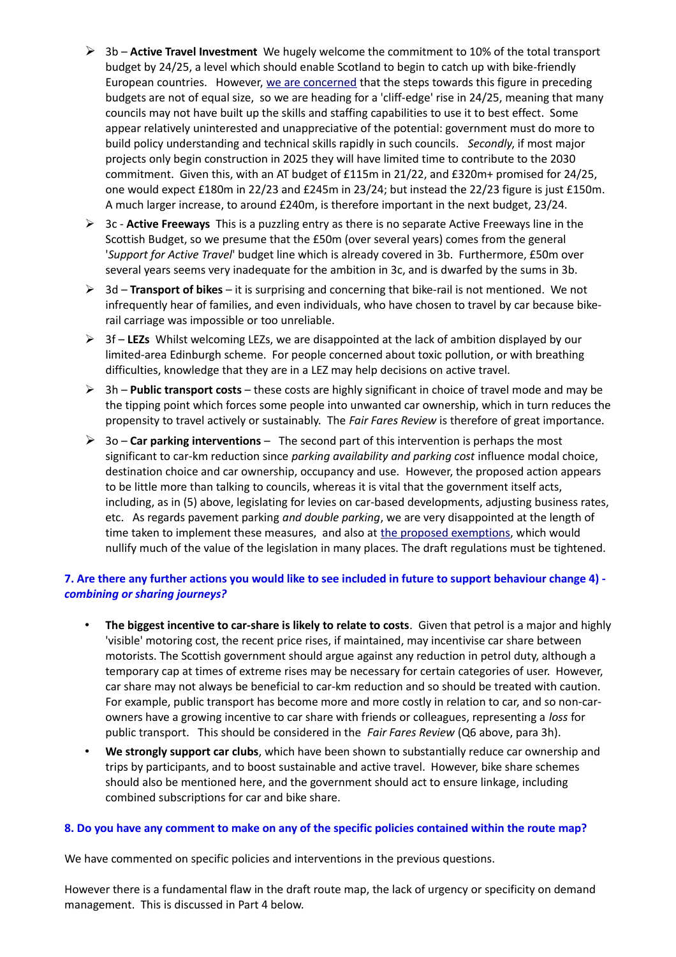- ➢ 3b **Active Travel Investment** We hugely welcome the commitment to 10% of the total transport budget by 24/25, a level which should enable Scotland to begin to catch up with bike-friendly European countries. However, [we are concerned](http://www.spokes.org.uk/2021/12/scottish-budget-22-23/) that the steps towards this figure in preceding budgets are not of equal size, so we are heading for a 'cliff-edge' rise in 24/25, meaning that many councils may not have built up the skills and staffing capabilities to use it to best effect. Some appear relatively uninterested and unappreciative of the potential: government must do more to build policy understanding and technical skills rapidly in such councils. *Secondly*, if most major projects only begin construction in 2025 they will have limited time to contribute to the 2030 commitment. Given this, with an AT budget of £115m in 21/22, and £320m+ promised for 24/25, one would expect £180m in 22/23 and £245m in 23/24; but instead the 22/23 figure is just £150m. A much larger increase, to around £240m, is therefore important in the next budget, 23/24.
- ➢ 3c **Active Freeways** This is a puzzling entry as there is no separate Active Freeways line in the Scottish Budget, so we presume that the £50m (over several years) comes from the general '*Support for Active Travel*' budget line which is already covered in 3b. Furthermore, £50m over several years seems very inadequate for the ambition in 3c, and is dwarfed by the sums in 3b.
- ➢ 3d **Transport of bikes** it is surprising and concerning that bike-rail is not mentioned. We not infrequently hear of families, and even individuals, who have chosen to travel by car because bikerail carriage was impossible or too unreliable.
- ➢ 3f **LEZs** Whilst welcoming LEZs, we are disappointed at the lack of ambition displayed by our limited-area Edinburgh scheme. For people concerned about toxic pollution, or with breathing difficulties, knowledge that they are in a LEZ may help decisions on active travel.
- ➢ 3h **Public transport costs** these costs are highly significant in choice of travel mode and may be the tipping point which forces some people into unwanted car ownership, which in turn reduces the propensity to travel actively or sustainably. The *Fair Fares Review* is therefore of great importance.
- ➢ 3o **Car parking interventions** The second part of this intervention is perhaps the most significant to car-km reduction since *parking availability and parking cost* influence modal choice, destination choice and car ownership, occupancy and use. However, the proposed action appears to be little more than talking to councils, whereas it is vital that the government itself acts, including, as in (5) above, legislating for levies on car-based developments, adjusting business rates, etc. As regards pavement parking *and double parking*, we are very disappointed at the length of time taken to implement these measures, and also at [the proposed exemptions,](http://www.spokes.org.uk/wp-content/uploads/2022/03/2203-PP-regs-Spokes-response.pdf) which would nullify much of the value of the legislation in many places. The draft regulations must be tightened.

#### **7. Are there any further actions you would like to see included in future to support behaviour change 4)**  *combining or sharing journeys?*

- **The biggest incentive to car-share is likely to relate to costs**. Given that petrol is a major and highly 'visible' motoring cost, the recent price rises, if maintained, may incentivise car share between motorists. The Scottish government should argue against any reduction in petrol duty, although a temporary cap at times of extreme rises may be necessary for certain categories of user. However, car share may not always be beneficial to car-km reduction and so should be treated with caution. For example, public transport has become more and more costly in relation to car, and so non-carowners have a growing incentive to car share with friends or colleagues, representing a *loss* for public transport. This should be considered in the *Fair Fares Review* (Q6 above, para 3h).
- **We strongly support car clubs**, which have been shown to substantially reduce car ownership and trips by participants, and to boost sustainable and active travel. However, bike share schemes should also be mentioned here, and the government should act to ensure linkage, including combined subscriptions for car and bike share.

#### **8. Do you have any comment to make on any of the specific policies contained within the route map?**

We have commented on specific policies and interventions in the previous questions.

However there is a fundamental flaw in the draft route map, the lack of urgency or specificity on demand management. This is discussed in Part 4 below.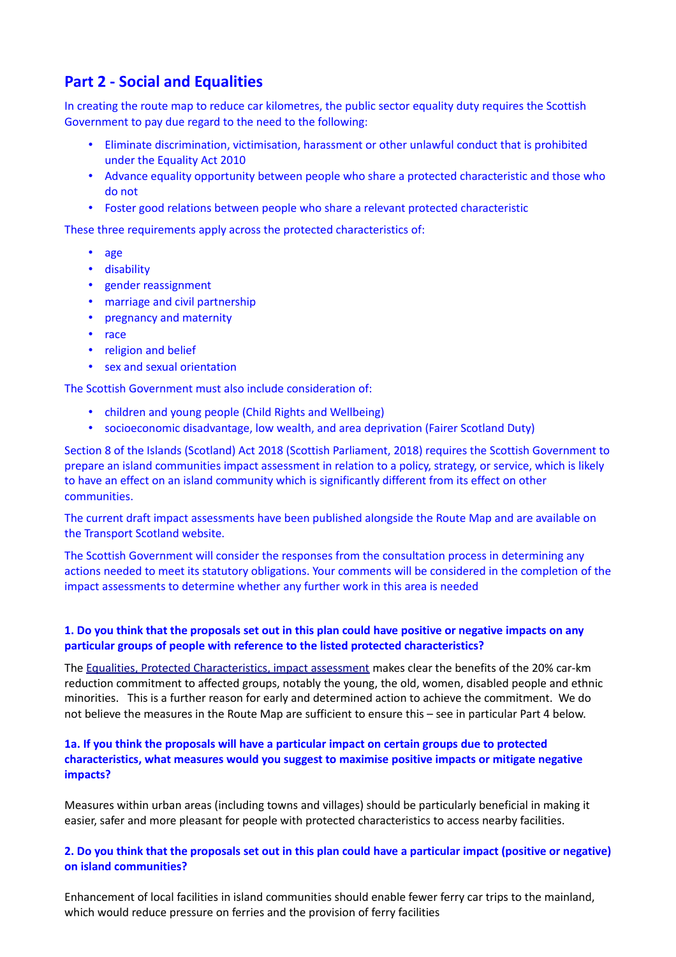## **Part 2 - Social and Equalities**

In creating the route map to reduce car kilometres, the public sector equality duty requires the Scottish Government to pay due regard to the need to the following:

- Eliminate discrimination, victimisation, harassment or other unlawful conduct that is prohibited under the Equality Act 2010
- Advance equality opportunity between people who share a protected characteristic and those who do not
- Foster good relations between people who share a relevant protected characteristic

These three requirements apply across the protected characteristics of:

- age
- disability
- gender reassignment
- marriage and civil partnership
- pregnancy and maternity
- race
- religion and belief
- sex and sexual orientation

The Scottish Government must also include consideration of:

- children and young people (Child Rights and Wellbeing)
- socioeconomic disadvantage, low wealth, and area deprivation (Fairer Scotland Duty)

Section 8 of the Islands (Scotland) Act 2018 (Scottish Parliament, 2018) requires the Scottish Government to prepare an island communities impact assessment in relation to a policy, strategy, or service, which is likely to have an effect on an island community which is significantly different from its effect on other communities.

The current draft impact assessments have been published alongside the Route Map and are available on the Transport Scotland website.

The Scottish Government will consider the responses from the consultation process in determining any actions needed to meet its statutory obligations. Your comments will be considered in the completion of the impact assessments to determine whether any further work in this area is needed

#### **1. Do you think that the proposals set out in this plan could have positive or negative impacts on any particular groups of people with reference to the listed protected characteristics?**

The [Equalities, Protected Characteristics, impact assessment](https://www.transport.gov.scot/publication/draft-equality-impact-assessment-a-route-map-to-achieve-a-20-per-cent-reduction-in-car-kilometres-by-2030/) makes clear the benefits of the 20% car-km reduction commitment to affected groups, notably the young, the old, women, disabled people and ethnic minorities. This is a further reason for early and determined action to achieve the commitment. We do not believe the measures in the Route Map are sufficient to ensure this – see in particular Part 4 below.

#### **1a. If you think the proposals will have a particular impact on certain groups due to protected characteristics, what measures would you suggest to maximise positive impacts or mitigate negative impacts?**

Measures within urban areas (including towns and villages) should be particularly beneficial in making it easier, safer and more pleasant for people with protected characteristics to access nearby facilities.

#### **2. Do you think that the proposals set out in this plan could have a particular impact (positive or negative) on island communities?**

Enhancement of local facilities in island communities should enable fewer ferry car trips to the mainland, which would reduce pressure on ferries and the provision of ferry facilities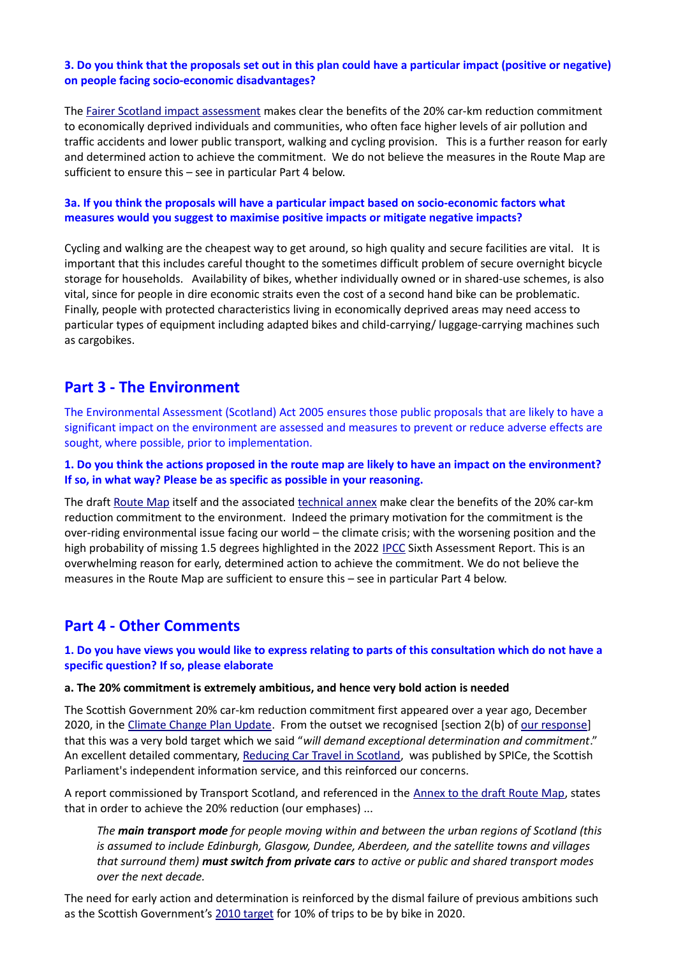#### **3. Do you think that the proposals set out in this plan could have a particular impact (positive or negative) on people facing socio-economic disadvantages?**

The [Fairer Scotland impact assessment](https://www.transport.gov.scot/publication/draft-fairer-scotland-duty-assessment-a-route-map-to-achieve-a-20-per-cent-reduction-in-car-kilometres-by-2030/) makes clear the benefits of the 20% car-km reduction commitment to economically deprived individuals and communities, who often face higher levels of air pollution and traffic accidents and lower public transport, walking and cycling provision. This is a further reason for early and determined action to achieve the commitment. We do not believe the measures in the Route Map are sufficient to ensure this – see in particular Part 4 below.

#### **3a. If you think the proposals will have a particular impact based on socio-economic factors what measures would you suggest to maximise positive impacts or mitigate negative impacts?**

Cycling and walking are the cheapest way to get around, so high quality and secure facilities are vital. It is important that this includes careful thought to the sometimes difficult problem of secure overnight bicycle storage for households. Availability of bikes, whether individually owned or in shared-use schemes, is also vital, since for people in dire economic straits even the cost of a second hand bike can be problematic. Finally, people with protected characteristics living in economically deprived areas may need access to particular types of equipment including adapted bikes and child-carrying/ luggage-carrying machines such as cargobikes.

## **Part 3 - The Environment**

The Environmental Assessment (Scotland) Act 2005 ensures those public proposals that are likely to have a significant impact on the environment are assessed and measures to prevent or reduce adverse effects are sought, where possible, prior to implementation.

#### **1. Do you think the actions proposed in the route map are likely to have an impact on the environment? If so, in what way? Please be as specific as possible in your reasoning.**

The draft [Route Map](https://www.transport.gov.scot/publication/a-route-map-to-achieve-a-20-per-cent-reduction-in-car-kilometres-by-2030/) itself and the associated [technical annex](https://www.transport.gov.scot/media/50873/technical-annex-a-route-map-to-achieve-a-20-per-cent-reduction-in-car-kms-by-2030.pdf) make clear the benefits of the 20% car-km reduction commitment to the environment. Indeed the primary motivation for the commitment is the over-riding environmental issue facing our world – the climate crisis; with the worsening position and the high probability of missing 1.5 degrees highlighted in the 2022 [IPCC](https://www.ipcc.ch/) Sixth Assessment Report. This is an overwhelming reason for early, determined action to achieve the commitment. We do not believe the measures in the Route Map are sufficient to ensure this – see in particular Part 4 below.

## **Part 4 - Other Comments**

#### **1. Do you have views you would like to express relating to parts of this consultation which do not have a specific question? If so, please elaborate**

#### **a. The 20% commitment is extremely ambitious, and hence very bold action is needed**

The Scottish Government 20% car-km reduction commitment first appeared over a year ago, December 2020, in the [Climate Change Plan Update.](https://www.gov.scot/publications/securing-green-recovery-path-net-zero-update-climate-change-plan-20182032/) From the outset we recognised [\[section 2\(b\)](http://www.spokes.org.uk/wp-content/uploads/2021/01/2101-CCPu-spokes-response-final.pdf) of [our response\]](http://www.spokes.org.uk/wp-content/uploads/2021/01/2101-CCPu-spokes-response-final.pdf) that this was a very bold target which we said "*will demand exceptional determination and commitment*." An excellent detailed commentary, [Reducing Car Travel in Scotland,](https://spice-spotlight.scot/2020/12/16/back-to-the-future-reducing-car-travel-in-scotland/) was published by SPICe, the Scottish Parliament's independent information service, and this reinforced our concerns.

A report commissioned by Transport Scotland, and referenced in the [Annex to the draft Route Map,](https://www.transport.gov.scot/media/50873/technical-annex-a-route-map-to-achieve-a-20-per-cent-reduction-in-car-kms-by-2030.pdf) states that in order to achieve the 20% reduction (our emphases) ...

*The main transport mode for people moving within and between the urban regions of Scotland (this is assumed to include Edinburgh, Glasgow, Dundee, Aberdeen, and the satellite towns and villages that surround them) must switch from private cars to active or public and shared transport modes over the next decade.* 

The need for early action and determination is reinforced by the dismal failure of previous ambitions such as the Scottish Government's [2010 target](http://www.spokes.org.uk/wordpress/wp-content/uploads/2012/09/1301-Spokes-response-v4.pdf) for 10% of trips to be by bike in 2020.